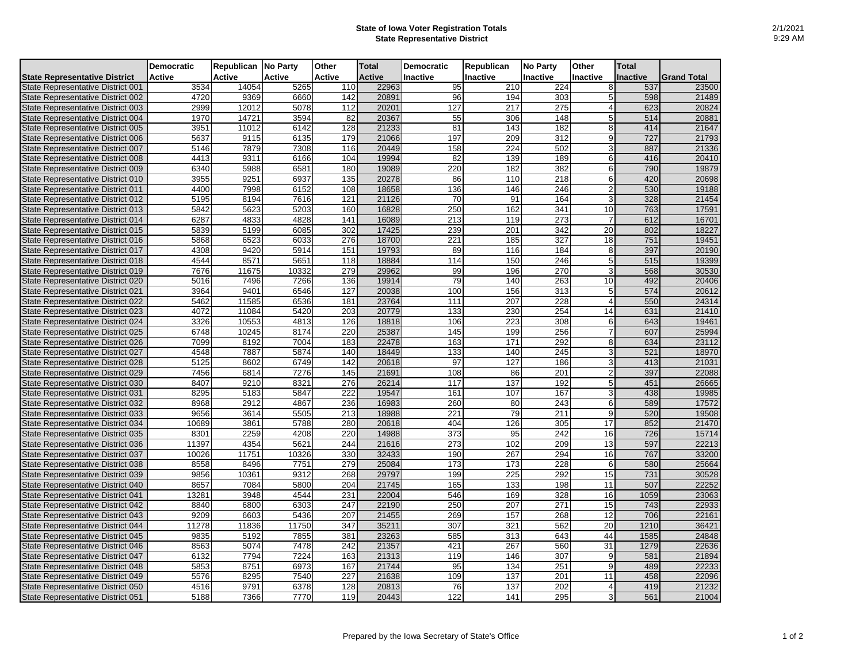## **State of Iowa Voter Registration Totals State Representative District**

|                                          | <b>Democratic</b> | Republican No Party |               | Other  | <b>Total</b>  | <b>Democratic</b> | Republican       | <b>No Party</b>  | Other           | <b>Total</b>    |                    |
|------------------------------------------|-------------------|---------------------|---------------|--------|---------------|-------------------|------------------|------------------|-----------------|-----------------|--------------------|
| <b>State Representative District</b>     | <b>Active</b>     | Active              | <b>Active</b> | Active | <b>Active</b> | Inactive          | Inactive         | <b>Inactive</b>  | <b>Inactive</b> | <b>Inactive</b> | <b>Grand Total</b> |
| <b>State Representative District 001</b> | 3534              | 14054               | 5265          | 110    | 22963         | 95                | 210              | 224              | 8               | 537             | 23500              |
| State Representative District 002        | 4720              | 9369                | 6660          | 142    | 20891         | 96                | 194              | 303              | 5               | 598             | 21489              |
| State Representative District 003        | 2999              | 12012               | 5078          | 112    | 20201         | 127               | 217              | 275              | $\overline{4}$  | 623             | 20824              |
| State Representative District 004        | 1970              | 14721               | 3594          | 82     | 20367         | 55                | 306              | 148              | 5               | 514             | 20881              |
| State Representative District 005        | 3951              | 11012               | 6142          | 128    | 21233         | 81                | 143              | 182              | 8               | 414             | 21647              |
| State Representative District 006        | 5637              | 9115                | 6135          | 179    | 21066         | 197               | 209              | 312              | 9               | 727             | 21793              |
| <b>State Representative District 007</b> | 5146              | 7879                | 7308          | 116    | 20449         | 158               | 224              | 502              | 3               | 887             | 21336              |
| <b>State Representative District 008</b> | 4413              | 9311                | 6166          | 104    | 19994         | 82                | 139              | 189              | 6               | 416             | 20410              |
| State Representative District 009        | 6340              | 5988                | 6581          | 180    | 19089         | 220               | 182              | 382              | 6               | 790             | 19879              |
| State Representative District 010        | 3955              | 9251                | 6937          | 135    | 20278         | 86                | 110              | 218              | 6               | 420             | 20698              |
| <b>State Representative District 011</b> | 4400              | 7998                | 6152          | 108    | 18658         | 136               | 146              | 246              | $\overline{2}$  | 530             | 19188              |
| <b>State Representative District 012</b> | 5195              | 8194                | 7616          | 121    | 21126         | 70                | 91               | 164              | 3               | 328             | 21454              |
| State Representative District 013        | 5842              | 5623                | 5203          | 160    | 16828         | 250               | 162              | 341              | 10              | 763             | 17591              |
| <b>State Representative District 014</b> | 6287              | 4833                | 4828          | 141    | 16089         | $\overline{213}$  | 119              | $\overline{273}$ |                 | 612             | 16701              |
| State Representative District 015        | 5839              | 5199                | 6085          | 302    | 17425         | 239               | 201              | 342              | 20              | 802             | 18227              |
| State Representative District 016        | 5868              | 6523                | 6033          | 276    | 18700         | 221               | 185              | 327              | 18              | 751             | 19451              |
| State Representative District 017        | 4308              | 9420                | 5914          | 151    | 19793         | 89                | 116              | 184              | 8               | 397             | 20190              |
| <b>State Representative District 018</b> | 4544              | 8571                | 5651          | 118    | 18884         | 114               | 150              | 246              | 5               | 515             | 19399              |
| State Representative District 019        | 7676              | 11675               | 10332         | 279    | 29962         | 99                | 196              | 270              | 3               | 568             | 30530              |
| State Representative District 020        | 5016              | 7496                | 7266          | 136    | 19914         | 79                | 140              | 263              | 10              | 492             | 20406              |
| <b>State Representative District 021</b> | 3964              | 9401                | 6546          | 127    | 20038         | 100               | 156              | 313              | 5               | 574             | 20612              |
| <b>State Representative District 022</b> | 5462              | 11585               | 6536          | 181    | 23764         | 111               | $\overline{207}$ | $\overline{228}$ | 4               | 550             | 24314              |
| <b>State Representative District 023</b> | 4072              | 11084               | 5420          | 203    | 20779         | 133               | 230              | 254              | 14              | 631             | 21410              |
| <b>State Representative District 024</b> | 3326              | 10553               | 4813          | 126    | 18818         | 106               | 223              | 308              | 6               | 643             | 19461              |
| State Representative District 025        | 6748              | 10245               | 8174          | 220    | 25387         | 145               | 199              | 256              | $\overline{7}$  | 607             | 25994              |
| State Representative District 026        | 7099              | 8192                | 7004          | 183    | 22478         | 163               | 171              | 292              | 8               | 634             | 23112              |
| <b>State Representative District 027</b> | 4548              | 7887                | 5874          | 140    | 18449         | 133               | 140              | 245              | 3               | 521             | 18970              |
| <b>State Representative District 028</b> | 5125              | 8602                | 6749          | 142    | 20618         | 97                | 127              | 186              | 3               | 413             | 21031              |
| State Representative District 029        | 7456              | 6814                | 7276          | 145    | 21691         | 108               | 86               | 201              |                 | 397             | 22088              |
| State Representative District 030        | 8407              | 9210                | 8321          | 276    | 26214         | 117               | 137              | 192              | 5               | 451             | 26665              |
| <b>State Representative District 031</b> | 8295              | 5183                | 5847          | 222    | 19547         | 161               | 107              | 167              | 3               | 438             | 19985              |
| State Representative District 032        | 8968              | 2912                | 4867          | 236    | 16983         | 260               | 80               | 243              | 6               | 589             | 17572              |
| State Representative District 033        | 9656              | 3614                | 5505          | 213    | 18988         | 221               | 79               | 211              | 9               | 520             | 19508              |
| <b>State Representative District 034</b> | 10689             | 3861                | 5788          | 280    | 20618         | 404               | 126              | 305              | 17              | 852             | 21470              |
| State Representative District 035        | 8301              | 2259                | 4208          | 220    | 14988         | 373               | 95               | 242              | 16              | 726             | 15714              |
| State Representative District 036        | 11397             | 4354                | 5621          | 244    | 21616         | 273               | 102              | 209              | 13              | 597             | 22213              |
| State Representative District 037        | 10026             | 11751               | 10326         | 330    | 32433         | 190               | 267              | 294              | 16              | 767             | 33200              |
| <b>State Representative District 038</b> | 8558              | 8496                | 7751          | 279    | 25084         | 173               | 173              | 228              | 6               | 580             | 25664              |
| State Representative District 039        | 9856              | 10361               | 9312          | 268    | 29797         | 199               | 225              | 292              | 15              | 731             | 30528              |
| State Representative District 040        | 8657              | 7084                | 5800          | 204    | 21745         | 165               | 133              | 198              | 11              | 507             | 22252              |
| <b>State Representative District 041</b> | 13281             | 3948                | 4544          | 231    | 22004         | 546               | 169              | 328              | 16              | 1059            | 23063              |
| <b>State Representative District 042</b> | 8840              | 6800                | 6303          | 247    | 22190         | 250               | 207              | 271              | 15              | 743             | 22933              |
| <b>State Representative District 043</b> | 9209              | 6603                | 5436          | 207    | 21455         | 269               | 157              | 268              | 12              | 706             | 22161              |
| <b>State Representative District 044</b> | 11278             | 11836               | 11750         | 347    | 35211         | $\overline{307}$  | 321              | 562              | $\overline{20}$ | 1210            | 36421              |
| State Representative District 045        | 9835              | 5192                | 7855          | 381    | 23263         | 585               | 313              | 643              | 44              | 1585            | 24848              |
| State Representative District 046        | 8563              | 5074                | 7478          | 242    | 21357         | 421               | 267              | 560              | 31              | 1279            | 22636              |
| <b>State Representative District 047</b> | 6132              | 7794                | 7224          | 163    | 21313         | 119               | 146              | $\overline{307}$ | 9               | 581             | 21894              |
| <b>State Representative District 048</b> | 5853              | 8751                | 6973          | 167    | 21744         | 95                | 134              | 251              | 9               | 489             | 22233              |
| State Representative District 049        | 5576              | 8295                | 7540          | 227    | 21638         | 109               | 137              | 201              | 11              | 458             | 22096              |
| State Representative District 050        | 4516              | 9791                | 6378          | 128    | 20813         | 76                | 137              | 202              | $\overline{4}$  | 419             | 21232              |
| State Representative District 051        | 5188              | 7366                | 7770          | 119    | 20443         | 122               | 141              | 295              | $\overline{3}$  | 561             | 21004              |